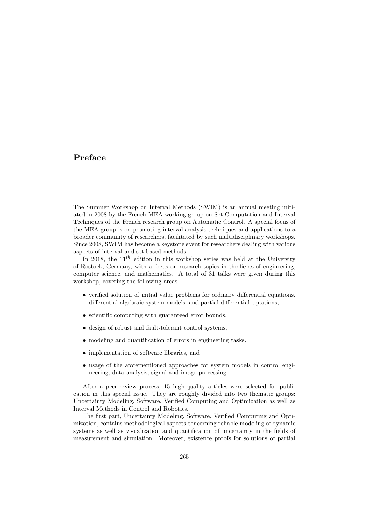## Preface

The Summer Workshop on Interval Methods (SWIM) is an annual meeting initiated in 2008 by the French MEA working group on Set Computation and Interval Techniques of the French research group on Automatic Control. A special focus of the MEA group is on promoting interval analysis techniques and applications to a broader community of researchers, facilitated by such multidisciplinary workshops. Since 2008, SWIM has become a keystone event for researchers dealing with various aspects of interval and set-based methods.

In 2018, the  $11^{th}$  edition in this workshop series was held at the University of Rostock, Germany, with a focus on research topics in the fields of engineering, computer science, and mathematics. A total of 31 talks were given during this workshop, covering the following areas:

- verified solution of initial value problems for ordinary differential equations, differential-algebraic system models, and partial differential equations,
- scientific computing with guaranteed error bounds,
- design of robust and fault-tolerant control systems,
- modeling and quantification of errors in engineering tasks,
- implementation of software libraries, and
- usage of the aforementioned approaches for system models in control engineering, data analysis, signal and image processing.

After a peer-review process, 15 high-quality articles were selected for publication in this special issue. They are roughly divided into two thematic groups: Uncertainty Modeling, Software, Verified Computing and Optimization as well as Interval Methods in Control and Robotics.

The first part, Uncertainty Modeling, Software, Verified Computing and Optimization, contains methodological aspects concerning reliable modeling of dynamic systems as well as visualization and quantification of uncertainty in the fields of measurement and simulation. Moreover, existence proofs for solutions of partial